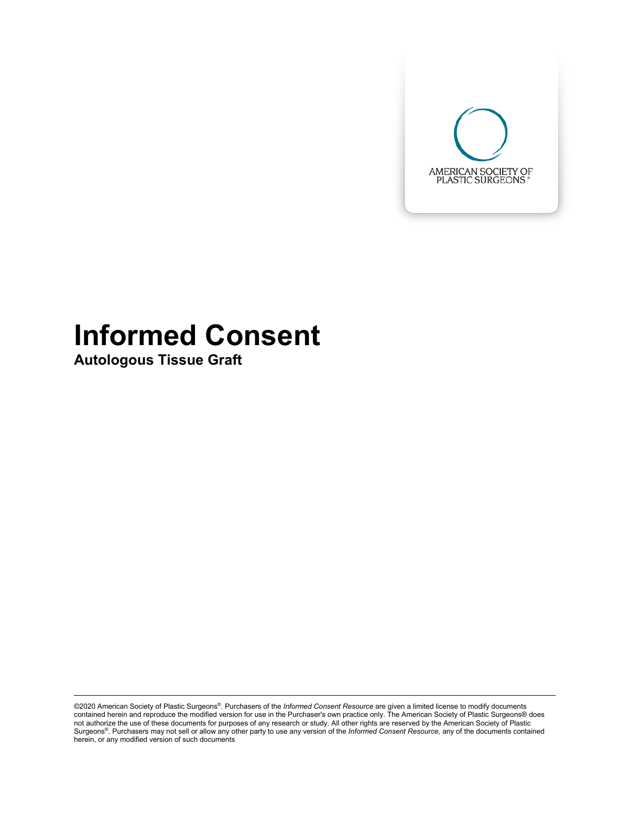

# **Informed Consent**

**Autologous Tissue Graft**

©2020 American Society of Plastic Surgeons®. Purchasers of the *Informed Consent Resource* are given a limited license to modify documents<br>contained herein and reproduce the modified version for use in the Purchaser's own not authorize the use of these documents for purposes of any research or study. All other rights are reserved by the American Society of Plastic<br>Surgeons®. Purchasers may not sell or allow any other party to use any versi herein, or any modified version of such documents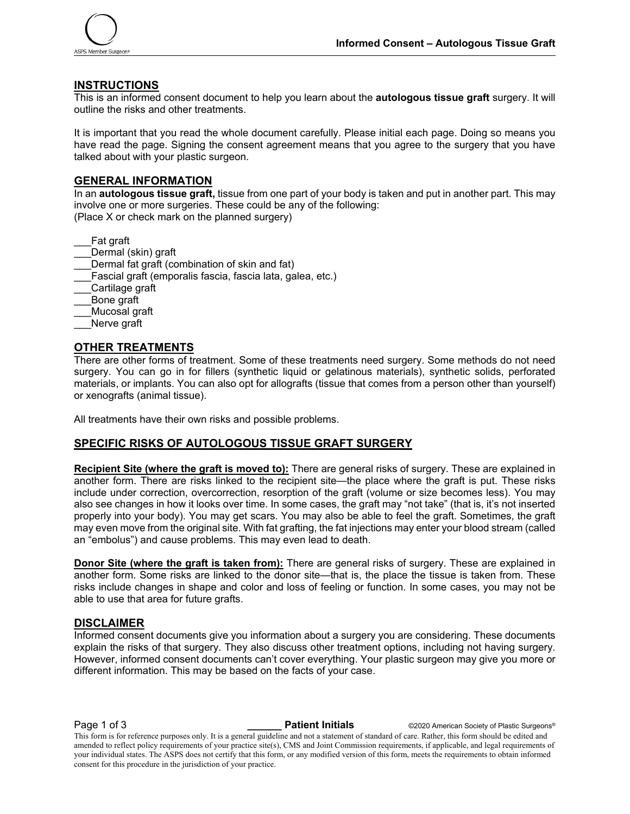

#### **INSTRUCTIONS**

This is an informed consent document to help you learn about the **autologous tissue graft** surgery. It will outline the risks and other treatments.

It is important that you read the whole document carefully. Please initial each page. Doing so means you have read the page. Signing the consent agreement means that you agree to the surgery that you have talked about with your plastic surgeon.

#### **GENERAL INFORMATION**

In an **autologous tissue graft,** tissue from one part of your body is taken and put in another part. This may involve one or more surgeries. These could be any of the following: (Place X or check mark on the planned surgery)

\_\_\_Fat graft

- Dermal (skin) graft
- Dermal fat graft (combination of skin and fat)
- Fascial graft (emporalis fascia, fascia lata, galea, etc.)
- Cartilage graft
- \_\_\_Bone graft
- \_\_\_Mucosal graft
- Nerve graft

#### **OTHER TREATMENTS**

There are other forms of treatment. Some of these treatments need surgery. Some methods do not need surgery. You can go in for fillers (synthetic liquid or gelatinous materials), synthetic solids, perforated materials, or implants. You can also opt for allografts (tissue that comes from a person other than yourself) or xenografts (animal tissue).

All treatments have their own risks and possible problems.

### **SPECIFIC RISKS OF AUTOLOGOUS TISSUE GRAFT SURGERY**

**Recipient Site (where the graft is moved to):** There are general risks of surgery. These are explained in another form. There are risks linked to the recipient site—the place where the graft is put. These risks include under correction, overcorrection, resorption of the graft (volume or size becomes less). You may also see changes in how it looks over time. In some cases, the graft may "not take" (that is, it's not inserted properly into your body). You may get scars. You may also be able to feel the graft. Sometimes, the graft may even move from the original site. With fat grafting, the fat injections may enter your blood stream (called an "embolus") and cause problems. This may even lead to death.

**Donor Site (where the graft is taken from):** There are general risks of surgery. These are explained in another form. Some risks are linked to the donor site—that is, the place the tissue is taken from. These risks include changes in shape and color and loss of feeling or function. In some cases, you may not be able to use that area for future grafts.

#### **DISCLAIMER**

Informed consent documents give you information about a surgery you are considering. These documents explain the risks of that surgery. They also discuss other treatment options, including not having surgery. However, informed consent documents can't cover everything. Your plastic surgeon may give you more or different information. This may be based on the facts of your case.

**Page 1 of 3 Patient Initials COVID-2020** American Society of Plastic Surgeons® This form is for reference purposes only. It is a general guideline and not a statement of standard of care. Rather, this form should be edited and amended to reflect policy requirements of your practice site(s), CMS and Joint Commission requirements, if applicable, and legal requirements of your individual states. The ASPS does not certify that this form, or any modified version of this form, meets the requirements to obtain informed consent for this procedure in the jurisdiction of your practice.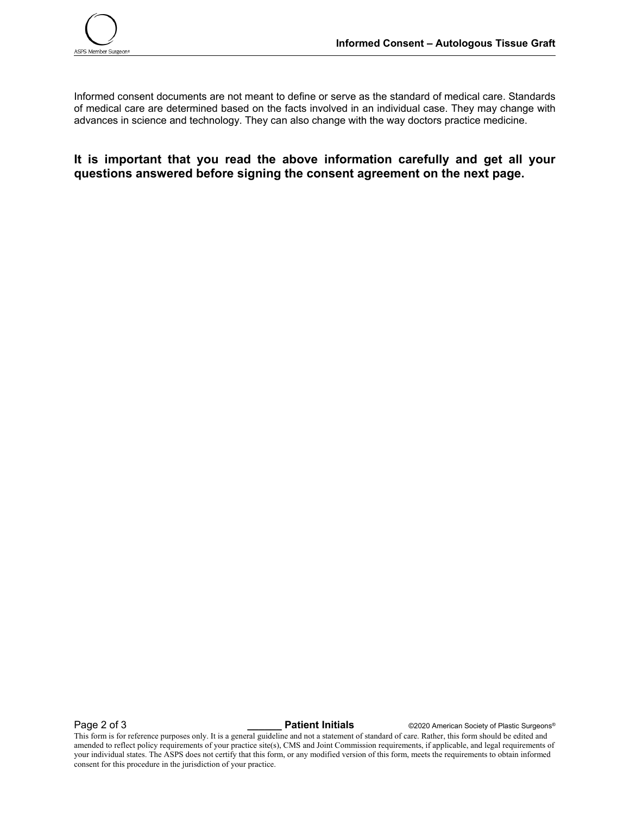Informed consent documents are not meant to define or serve as the standard of medical care. Standards of medical care are determined based on the facts involved in an individual case. They may change with advances in science and technology. They can also change with the way doctors practice medicine.

**It is important that you read the above information carefully and get all your questions answered before signing the consent agreement on the next page.**

**Page 2 of 3 Patient Initials COVID-2020** American Society of Plastic Surgeons®

This form is for reference purposes only. It is a general guideline and not a statement of standard of care. Rather, this form should be edited and amended to reflect policy requirements of your practice site(s), CMS and Joint Commission requirements, if applicable, and legal requirements of your individual states. The ASPS does not certify that this form, or any modified version of this form, meets the requirements to obtain informed consent for this procedure in the jurisdiction of your practice.